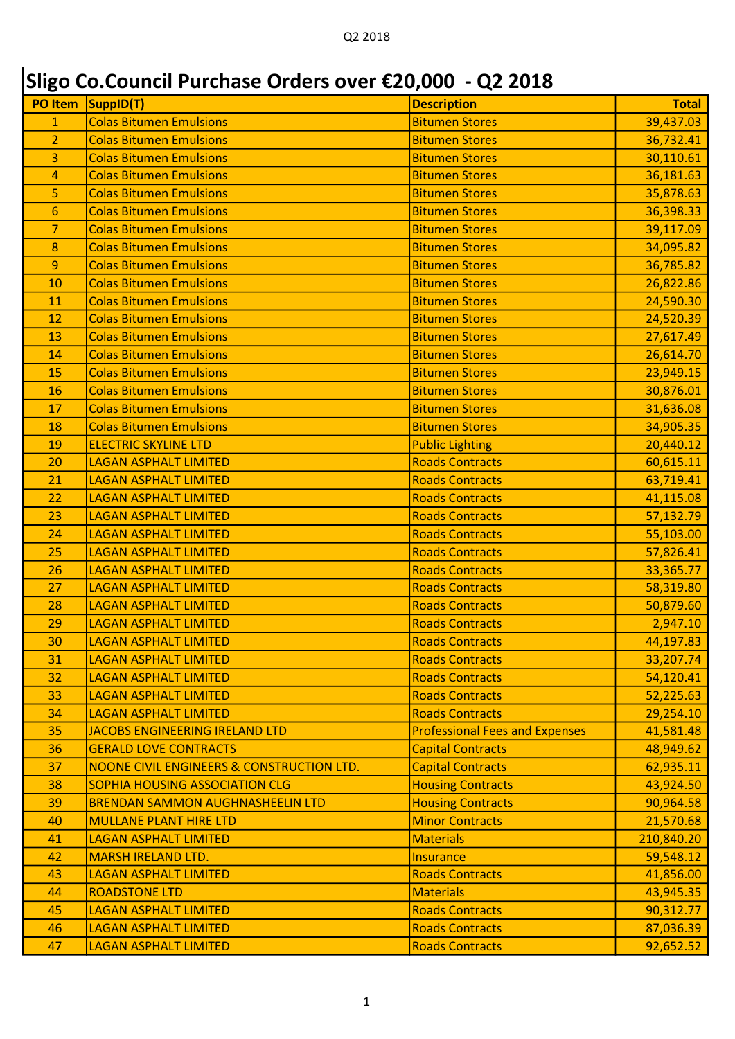## Sligo Co.Council Purchase Orders over €20,000 - Q2 2018

| <b>PO Item</b> | SuppID(T)                                 | <b>Description</b>                    | <b>Total</b> |
|----------------|-------------------------------------------|---------------------------------------|--------------|
| $\overline{1}$ | <b>Colas Bitumen Emulsions</b>            | <b>Bitumen Stores</b>                 | 39,437.03    |
| $\overline{2}$ | <b>Colas Bitumen Emulsions</b>            | <b>Bitumen Stores</b>                 | 36,732.41    |
| 3              | <b>Colas Bitumen Emulsions</b>            | <b>Bitumen Stores</b>                 | 30,110.61    |
| 4              | <b>Colas Bitumen Emulsions</b>            | <b>Bitumen Stores</b>                 | 36,181.63    |
| 5              | <b>Colas Bitumen Emulsions</b>            | <b>Bitumen Stores</b>                 | 35,878.63    |
| 6              | <b>Colas Bitumen Emulsions</b>            | <b>Bitumen Stores</b>                 | 36,398.33    |
| $\overline{7}$ | <b>Colas Bitumen Emulsions</b>            | <b>Bitumen Stores</b>                 | 39,117.09    |
| 8              | <b>Colas Bitumen Emulsions</b>            | <b>Bitumen Stores</b>                 | 34,095.82    |
| 9              | <b>Colas Bitumen Emulsions</b>            | <b>Bitumen Stores</b>                 | 36,785.82    |
| 10             | <b>Colas Bitumen Emulsions</b>            | <b>Bitumen Stores</b>                 | 26,822.86    |
| 11             | <b>Colas Bitumen Emulsions</b>            | <b>Bitumen Stores</b>                 | 24,590.30    |
| 12             | <b>Colas Bitumen Emulsions</b>            | <b>Bitumen Stores</b>                 | 24,520.39    |
| 13             | <b>Colas Bitumen Emulsions</b>            | <b>Bitumen Stores</b>                 | 27,617.49    |
| 14             | <b>Colas Bitumen Emulsions</b>            | <b>Bitumen Stores</b>                 | 26,614.70    |
| 15             | <b>Colas Bitumen Emulsions</b>            | <b>Bitumen Stores</b>                 | 23,949.15    |
| 16             | <b>Colas Bitumen Emulsions</b>            | <b>Bitumen Stores</b>                 | 30,876.01    |
| 17             | <b>Colas Bitumen Emulsions</b>            | <b>Bitumen Stores</b>                 | 31,636.08    |
| 18             | <b>Colas Bitumen Emulsions</b>            | <b>Bitumen Stores</b>                 | 34,905.35    |
| 19             | <b>ELECTRIC SKYLINE LTD</b>               | <b>Public Lighting</b>                | 20,440.12    |
| 20             | <b>LAGAN ASPHALT LIMITED</b>              | <b>Roads Contracts</b>                | 60,615.11    |
| 21             | <b>LAGAN ASPHALT LIMITED</b>              | <b>Roads Contracts</b>                | 63,719.41    |
| 22             | <b>LAGAN ASPHALT LIMITED</b>              | <b>Roads Contracts</b>                | 41,115.08    |
| 23             | <b>LAGAN ASPHALT LIMITED</b>              | <b>Roads Contracts</b>                | 57,132.79    |
| 24             | <b>LAGAN ASPHALT LIMITED</b>              | <b>Roads Contracts</b>                | 55,103.00    |
| 25             | <b>LAGAN ASPHALT LIMITED</b>              | <b>Roads Contracts</b>                | 57,826.41    |
| 26             | <b>LAGAN ASPHALT LIMITED</b>              | <b>Roads Contracts</b>                | 33,365.77    |
| 27             | <b>LAGAN ASPHALT LIMITED</b>              | <b>Roads Contracts</b>                | 58,319.80    |
| 28             | <b>LAGAN ASPHALT LIMITED</b>              | <b>Roads Contracts</b>                | 50,879.60    |
| 29             | <b>LAGAN ASPHALT LIMITED</b>              | <b>Roads Contracts</b>                | 2,947.10     |
| 30             | <b>LAGAN ASPHALT LIMITED</b>              | <b>Roads Contracts</b>                | 44,197.83    |
| 31             | <b>LAGAN ASPHALT LIMITED</b>              | <b>Roads Contracts</b>                | 33,207.74    |
| 32             | <b>LAGAN ASPHALT LIMITED</b>              | <b>Roads Contracts</b>                | 54,120.41    |
| 33             | <b>LAGAN ASPHALT LIMITED</b>              | <b>Roads Contracts</b>                | 52,225.63    |
| 34             | <b>LAGAN ASPHALT LIMITED</b>              | <b>Roads Contracts</b>                | 29,254.10    |
| 35             | <b>JACOBS ENGINEERING IRELAND LTD</b>     | <b>Professional Fees and Expenses</b> | 41,581.48    |
| 36             | <b>GERALD LOVE CONTRACTS</b>              | <b>Capital Contracts</b>              | 48,949.62    |
| 37             | NOONE CIVIL ENGINEERS & CONSTRUCTION LTD. | <b>Capital Contracts</b>              | 62,935.11    |
| 38             | SOPHIA HOUSING ASSOCIATION CLG            | <b>Housing Contracts</b>              | 43,924.50    |
| 39             | <b>BRENDAN SAMMON AUGHNASHEELIN LTD</b>   | <b>Housing Contracts</b>              | 90,964.58    |
| 40             | <b>MULLANE PLANT HIRE LTD</b>             | <b>Minor Contracts</b>                | 21,570.68    |
| 41             | <b>LAGAN ASPHALT LIMITED</b>              | <b>Materials</b>                      | 210,840.20   |
| 42             | <b>MARSH IRELAND LTD.</b>                 | <b>Insurance</b>                      | 59,548.12    |
| 43             | <b>LAGAN ASPHALT LIMITED</b>              | <b>Roads Contracts</b>                | 41,856.00    |
| 44             | <b>ROADSTONE LTD</b>                      | <b>Materials</b>                      | 43,945.35    |
| 45             | <b>LAGAN ASPHALT LIMITED</b>              | <b>Roads Contracts</b>                | 90,312.77    |
| 46             | <b>LAGAN ASPHALT LIMITED</b>              | <b>Roads Contracts</b>                | 87,036.39    |
| 47             | <b>LAGAN ASPHALT LIMITED</b>              | <b>Roads Contracts</b>                | 92,652.52    |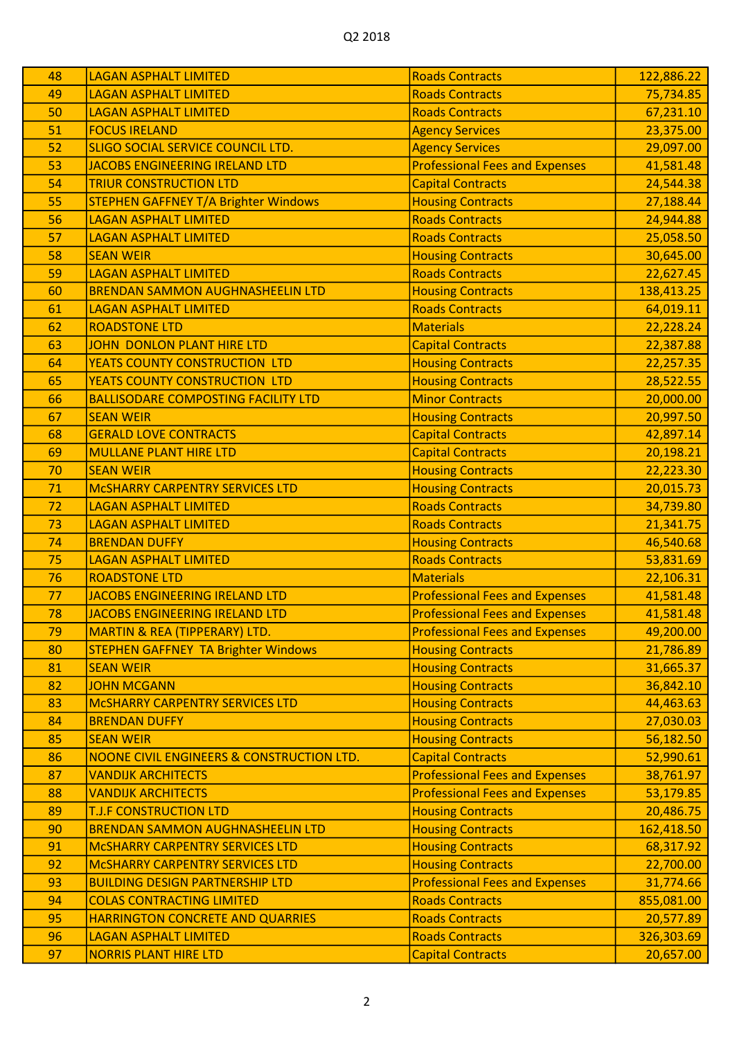| 48 | <b>LAGAN ASPHALT LIMITED</b>                | <b>Roads Contracts</b>                | 122,886.22 |
|----|---------------------------------------------|---------------------------------------|------------|
| 49 | <b>LAGAN ASPHALT LIMITED</b>                | <b>Roads Contracts</b>                | 75,734.85  |
| 50 | <b>LAGAN ASPHALT LIMITED</b>                | <b>Roads Contracts</b>                | 67,231.10  |
| 51 | <b>FOCUS IRELAND</b>                        | <b>Agency Services</b>                | 23,375.00  |
| 52 | <b>SLIGO SOCIAL SERVICE COUNCIL LTD.</b>    | <b>Agency Services</b>                | 29,097.00  |
| 53 | JACOBS ENGINEERING IRELAND LTD              | <b>Professional Fees and Expenses</b> | 41,581.48  |
| 54 | <b>TRIUR CONSTRUCTION LTD</b>               | <b>Capital Contracts</b>              | 24,544.38  |
| 55 | <b>STEPHEN GAFFNEY T/A Brighter Windows</b> | <b>Housing Contracts</b>              | 27,188.44  |
| 56 | <b>LAGAN ASPHALT LIMITED</b>                | <b>Roads Contracts</b>                | 24,944.88  |
| 57 | <b>LAGAN ASPHALT LIMITED</b>                | <b>Roads Contracts</b>                | 25,058.50  |
| 58 | <b>SEAN WEIR</b>                            | <b>Housing Contracts</b>              | 30,645.00  |
| 59 | <b>LAGAN ASPHALT LIMITED</b>                | <b>Roads Contracts</b>                | 22,627.45  |
| 60 | <b>BRENDAN SAMMON AUGHNASHEELIN LTD</b>     | <b>Housing Contracts</b>              | 138,413.25 |
| 61 | <b>LAGAN ASPHALT LIMITED</b>                | <b>Roads Contracts</b>                | 64,019.11  |
| 62 | <b>ROADSTONE LTD</b>                        | <b>Materials</b>                      | 22,228.24  |
| 63 | <b>JOHN DONLON PLANT HIRE LTD</b>           | <b>Capital Contracts</b>              | 22,387.88  |
| 64 | YEATS COUNTY CONSTRUCTION LTD               | <b>Housing Contracts</b>              | 22,257.35  |
| 65 | YEATS COUNTY CONSTRUCTION LTD               | <b>Housing Contracts</b>              | 28,522.55  |
| 66 | <b>BALLISODARE COMPOSTING FACILITY LTD</b>  | <b>Minor Contracts</b>                | 20,000.00  |
| 67 | <b>SEAN WEIR</b>                            | <b>Housing Contracts</b>              | 20,997.50  |
| 68 | <b>GERALD LOVE CONTRACTS</b>                | <b>Capital Contracts</b>              | 42,897.14  |
| 69 | <b>MULLANE PLANT HIRE LTD</b>               | <b>Capital Contracts</b>              | 20,198.21  |
| 70 | <b>SEAN WEIR</b>                            | <b>Housing Contracts</b>              | 22,223.30  |
| 71 | <b>MCSHARRY CARPENTRY SERVICES LTD</b>      | <b>Housing Contracts</b>              | 20,015.73  |
| 72 | <b>LAGAN ASPHALT LIMITED</b>                | <b>Roads Contracts</b>                | 34,739.80  |
| 73 | <b>LAGAN ASPHALT LIMITED</b>                | <b>Roads Contracts</b>                | 21,341.75  |
| 74 | <b>BRENDAN DUFFY</b>                        | <b>Housing Contracts</b>              | 46,540.68  |
| 75 | <b>LAGAN ASPHALT LIMITED</b>                | <b>Roads Contracts</b>                | 53,831.69  |
| 76 | <b>ROADSTONE LTD</b>                        | <b>Materials</b>                      | 22,106.31  |
| 77 | JACOBS ENGINEERING IRELAND LTD              | <b>Professional Fees and Expenses</b> | 41,581.48  |
| 78 | JACOBS ENGINEERING IRELAND LTD              | <b>Professional Fees and Expenses</b> | 41,581.48  |
| 79 | MARTIN & REA (TIPPERARY) LTD.               | <b>Professional Fees and Expenses</b> | 49,200.00  |
| 80 | <b>STEPHEN GAFFNEY TA Brighter Windows</b>  | <b>Housing Contracts</b>              | 21,786.89  |
| 81 | <b>SEAN WEIR</b>                            | <b>Housing Contracts</b>              | 31,665.37  |
| 82 | <b>JOHN MCGANN</b>                          | <b>Housing Contracts</b>              | 36,842.10  |
| 83 | <b>MCSHARRY CARPENTRY SERVICES LTD</b>      | <b>Housing Contracts</b>              | 44,463.63  |
| 84 | <b>BRENDAN DUFFY</b>                        | <b>Housing Contracts</b>              | 27,030.03  |
| 85 | <b>SEAN WEIR</b>                            | <b>Housing Contracts</b>              | 56,182.50  |
| 86 | NOONE CIVIL ENGINEERS & CONSTRUCTION LTD.   | <b>Capital Contracts</b>              | 52,990.61  |
| 87 | <b>VANDIJK ARCHITECTS</b>                   | <b>Professional Fees and Expenses</b> | 38,761.97  |
| 88 | <b>VANDIJK ARCHITECTS</b>                   | <b>Professional Fees and Expenses</b> | 53,179.85  |
| 89 | <b>T.J.F CONSTRUCTION LTD</b>               | <b>Housing Contracts</b>              | 20,486.75  |
| 90 | <b>BRENDAN SAMMON AUGHNASHEELIN LTD</b>     | <b>Housing Contracts</b>              | 162,418.50 |
| 91 | <b>MCSHARRY CARPENTRY SERVICES LTD</b>      | <b>Housing Contracts</b>              | 68,317.92  |
| 92 | <b>MCSHARRY CARPENTRY SERVICES LTD</b>      | <b>Housing Contracts</b>              | 22,700.00  |
| 93 | <b>BUILDING DESIGN PARTNERSHIP LTD</b>      | <b>Professional Fees and Expenses</b> | 31,774.66  |
| 94 | <b>COLAS CONTRACTING LIMITED</b>            | <b>Roads Contracts</b>                | 855,081.00 |
| 95 | HARRINGTON CONCRETE AND QUARRIES            | <b>Roads Contracts</b>                | 20,577.89  |
| 96 | <b>LAGAN ASPHALT LIMITED</b>                | <b>Roads Contracts</b>                | 326,303.69 |
| 97 | <b>NORRIS PLANT HIRE LTD</b>                | <b>Capital Contracts</b>              | 20,657.00  |